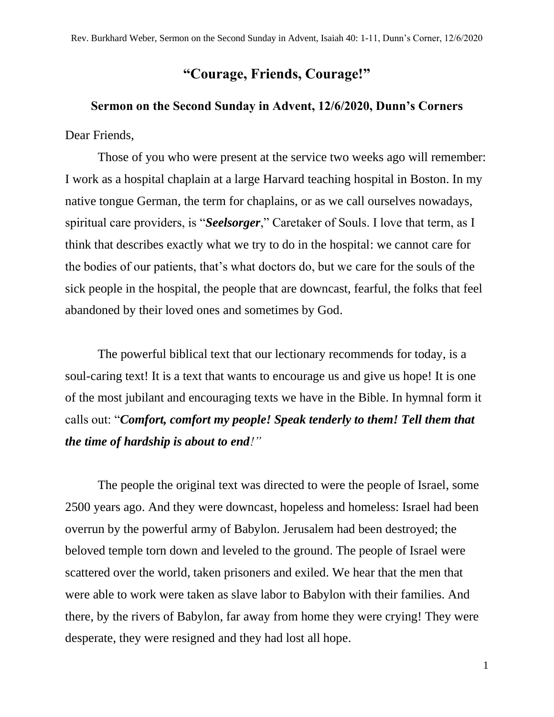## **"Courage, Friends, Courage!"**

## **Sermon on the Second Sunday in Advent, 12/6/2020, Dunn's Corners**

Dear Friends,

Those of you who were present at the service two weeks ago will remember: I work as a hospital chaplain at a large Harvard teaching hospital in Boston. In my native tongue German, the term for chaplains, or as we call ourselves nowadays, spiritual care providers, is "*Seelsorger*," Caretaker of Souls. I love that term, as I think that describes exactly what we try to do in the hospital: we cannot care for the bodies of our patients, that's what doctors do, but we care for the souls of the sick people in the hospital, the people that are downcast, fearful, the folks that feel abandoned by their loved ones and sometimes by God.

The powerful biblical text that our lectionary recommends for today, is a soul-caring text! It is a text that wants to encourage us and give us hope! It is one of the most jubilant and encouraging texts we have in the Bible. In hymnal form it calls out: "*Comfort, comfort my people! Speak tenderly to them! Tell them that the time of hardship is about to end!"*

The people the original text was directed to were the people of Israel, some 2500 years ago. And they were downcast, hopeless and homeless: Israel had been overrun by the powerful army of Babylon. Jerusalem had been destroyed; the beloved temple torn down and leveled to the ground. The people of Israel were scattered over the world, taken prisoners and exiled. We hear that the men that were able to work were taken as slave labor to Babylon with their families. And there, by the rivers of Babylon, far away from home they were crying! They were desperate, they were resigned and they had lost all hope.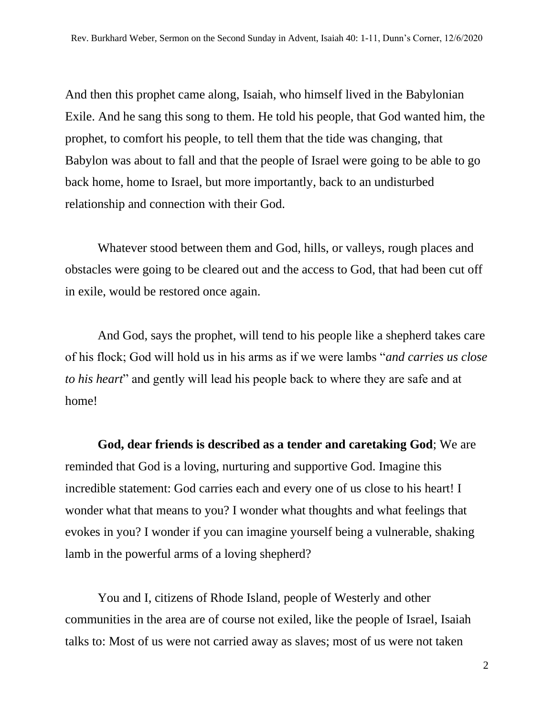And then this prophet came along, Isaiah, who himself lived in the Babylonian Exile. And he sang this song to them. He told his people, that God wanted him, the prophet, to comfort his people, to tell them that the tide was changing, that Babylon was about to fall and that the people of Israel were going to be able to go back home, home to Israel, but more importantly, back to an undisturbed relationship and connection with their God.

Whatever stood between them and God, hills, or valleys, rough places and obstacles were going to be cleared out and the access to God, that had been cut off in exile, would be restored once again.

And God, says the prophet, will tend to his people like a shepherd takes care of his flock; God will hold us in his arms as if we were lambs "*and carries us close to his heart*" and gently will lead his people back to where they are safe and at home!

**God, dear friends is described as a tender and caretaking God**; We are reminded that God is a loving, nurturing and supportive God. Imagine this incredible statement: God carries each and every one of us close to his heart! I wonder what that means to you? I wonder what thoughts and what feelings that evokes in you? I wonder if you can imagine yourself being a vulnerable, shaking lamb in the powerful arms of a loving shepherd?

You and I, citizens of Rhode Island, people of Westerly and other communities in the area are of course not exiled, like the people of Israel, Isaiah talks to: Most of us were not carried away as slaves; most of us were not taken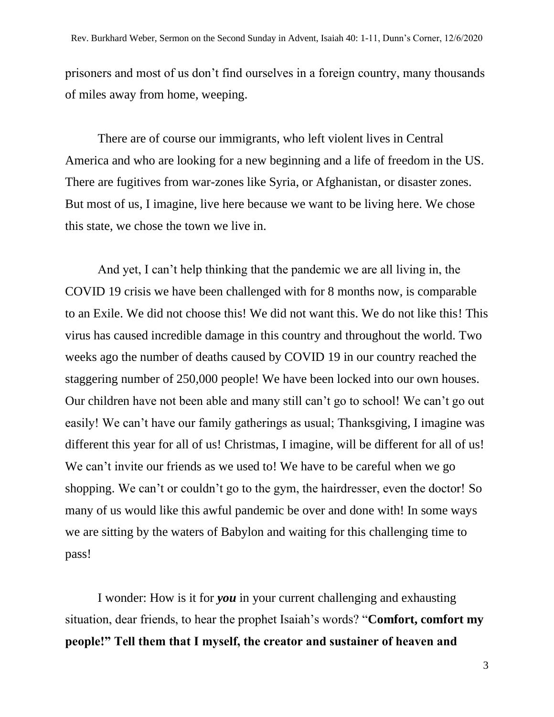prisoners and most of us don't find ourselves in a foreign country, many thousands of miles away from home, weeping.

There are of course our immigrants, who left violent lives in Central America and who are looking for a new beginning and a life of freedom in the US. There are fugitives from war-zones like Syria, or Afghanistan, or disaster zones. But most of us, I imagine, live here because we want to be living here. We chose this state, we chose the town we live in.

And yet, I can't help thinking that the pandemic we are all living in, the COVID 19 crisis we have been challenged with for 8 months now, is comparable to an Exile. We did not choose this! We did not want this. We do not like this! This virus has caused incredible damage in this country and throughout the world. Two weeks ago the number of deaths caused by COVID 19 in our country reached the staggering number of 250,000 people! We have been locked into our own houses. Our children have not been able and many still can't go to school! We can't go out easily! We can't have our family gatherings as usual; Thanksgiving, I imagine was different this year for all of us! Christmas, I imagine, will be different for all of us! We can't invite our friends as we used to! We have to be careful when we go shopping. We can't or couldn't go to the gym, the hairdresser, even the doctor! So many of us would like this awful pandemic be over and done with! In some ways we are sitting by the waters of Babylon and waiting for this challenging time to pass!

I wonder: How is it for *you* in your current challenging and exhausting situation, dear friends, to hear the prophet Isaiah's words? "**Comfort, comfort my people!" Tell them that I myself, the creator and sustainer of heaven and** 

3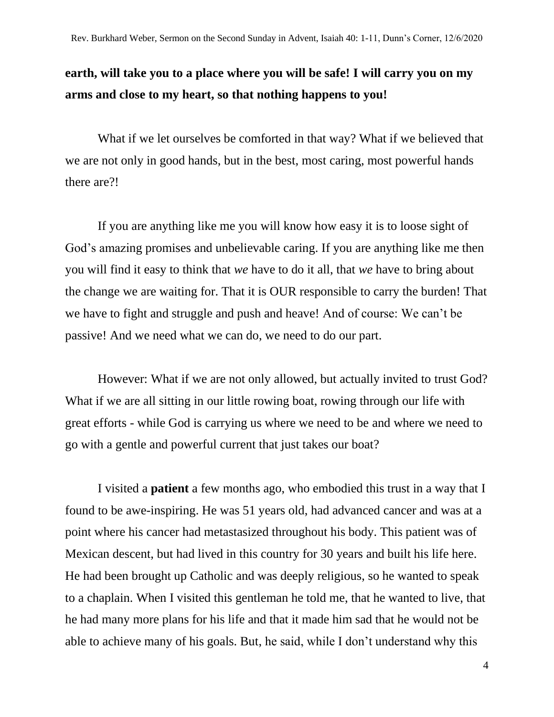## **earth, will take you to a place where you will be safe! I will carry you on my arms and close to my heart, so that nothing happens to you!**

What if we let ourselves be comforted in that way? What if we believed that we are not only in good hands, but in the best, most caring, most powerful hands there are?!

If you are anything like me you will know how easy it is to loose sight of God's amazing promises and unbelievable caring. If you are anything like me then you will find it easy to think that *we* have to do it all, that *we* have to bring about the change we are waiting for. That it is OUR responsible to carry the burden! That we have to fight and struggle and push and heave! And of course: We can't be passive! And we need what we can do, we need to do our part.

However: What if we are not only allowed, but actually invited to trust God? What if we are all sitting in our little rowing boat, rowing through our life with great efforts - while God is carrying us where we need to be and where we need to go with a gentle and powerful current that just takes our boat?

I visited a **patient** a few months ago, who embodied this trust in a way that I found to be awe-inspiring. He was 51 years old, had advanced cancer and was at a point where his cancer had metastasized throughout his body. This patient was of Mexican descent, but had lived in this country for 30 years and built his life here. He had been brought up Catholic and was deeply religious, so he wanted to speak to a chaplain. When I visited this gentleman he told me, that he wanted to live, that he had many more plans for his life and that it made him sad that he would not be able to achieve many of his goals. But, he said, while I don't understand why this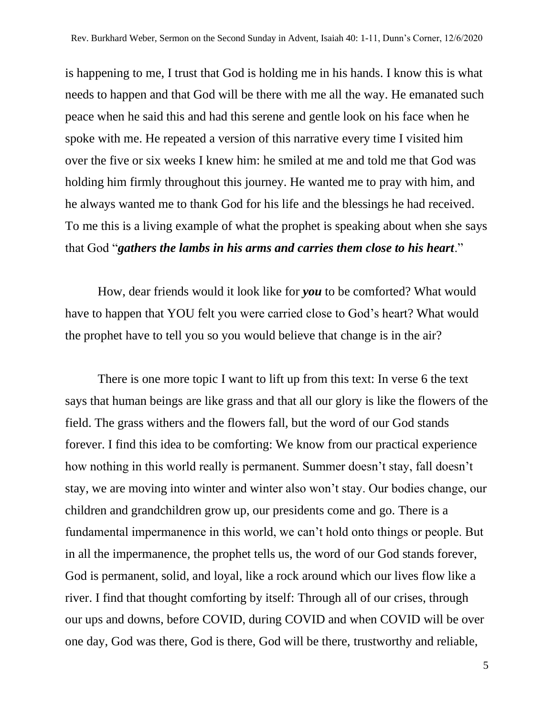is happening to me, I trust that God is holding me in his hands. I know this is what needs to happen and that God will be there with me all the way. He emanated such peace when he said this and had this serene and gentle look on his face when he spoke with me. He repeated a version of this narrative every time I visited him over the five or six weeks I knew him: he smiled at me and told me that God was holding him firmly throughout this journey. He wanted me to pray with him, and he always wanted me to thank God for his life and the blessings he had received. To me this is a living example of what the prophet is speaking about when she says that God "*gathers the lambs in his arms and carries them close to his heart*."

How, dear friends would it look like for *you* to be comforted? What would have to happen that YOU felt you were carried close to God's heart? What would the prophet have to tell you so you would believe that change is in the air?

There is one more topic I want to lift up from this text: In verse 6 the text says that human beings are like grass and that all our glory is like the flowers of the field. The grass withers and the flowers fall, but the word of our God stands forever. I find this idea to be comforting: We know from our practical experience how nothing in this world really is permanent. Summer doesn't stay, fall doesn't stay, we are moving into winter and winter also won't stay. Our bodies change, our children and grandchildren grow up, our presidents come and go. There is a fundamental impermanence in this world, we can't hold onto things or people. But in all the impermanence, the prophet tells us, the word of our God stands forever, God is permanent, solid, and loyal, like a rock around which our lives flow like a river. I find that thought comforting by itself: Through all of our crises, through our ups and downs, before COVID, during COVID and when COVID will be over one day, God was there, God is there, God will be there, trustworthy and reliable,